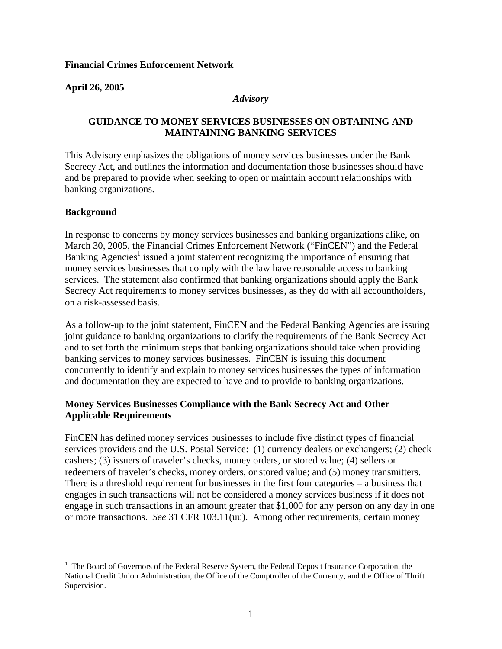#### **Financial Crimes Enforcement Network**

### **April 26, 2005**

#### *Advisory*

# **GUIDANCE TO MONEY SERVICES BUSINESSES ON OBTAINING AND MAINTAINING BANKING SERVICES**

This Advisory emphasizes the obligations of money services businesses under the Bank Secrecy Act, and outlines the information and documentation those businesses should have and be prepared to provide when seeking to open or maintain account relationships with banking organizations.

#### **Background**

 $\overline{a}$ 

In response to concerns by money services businesses and banking organizations alike, on March 30, 2005, the Financial Crimes Enforcement Network ("FinCEN") and the Federal Banking Agencies<sup>[1](#page-0-0)</sup> issued a joint statement recognizing the importance of ensuring that money services businesses that comply with the law have reasonable access to banking services. The statement also confirmed that banking organizations should apply the Bank Secrecy Act requirements to money services businesses, as they do with all accountholders, on a risk-assessed basis.

As a follow-up to the joint statement, FinCEN and the Federal Banking Agencies are issuing joint guidance to banking organizations to clarify the requirements of the Bank Secrecy Act and to set forth the minimum steps that banking organizations should take when providing banking services to money services businesses. FinCEN is issuing this document concurrently to identify and explain to money services businesses the types of information and documentation they are expected to have and to provide to banking organizations.

# **Money Services Businesses Compliance with the Bank Secrecy Act and Other Applicable Requirements**

FinCEN has defined money services businesses to include five distinct types of financial services providers and the U.S. Postal Service: (1) currency dealers or exchangers; (2) check cashers; (3) issuers of traveler's checks, money orders, or stored value; (4) sellers or redeemers of traveler's checks, money orders, or stored value; and (5) money transmitters. There is a threshold requirement for businesses in the first four categories – a business that engages in such transactions will not be considered a money services business if it does not engage in such transactions in an amount greater that \$1,000 for any person on any day in one or more transactions. *See* 31 CFR 103.11(uu). Among other requirements, certain money

<span id="page-0-0"></span><sup>&</sup>lt;sup>1</sup> The Board of Governors of the Federal Reserve System, the Federal Deposit Insurance Corporation, the National Credit Union Administration, the Office of the Comptroller of the Currency, and the Office of Thrift Supervision.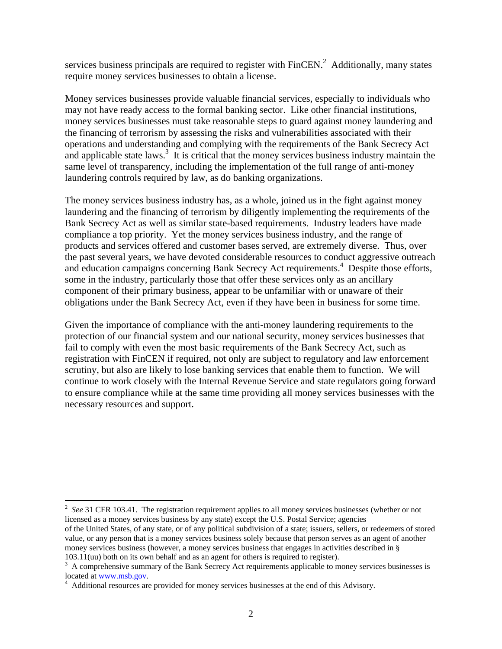servicesbusiness principals are required to register with  $FinCEN<sup>2</sup>$  Additionally, many states require money services businesses to obtain a license.

Money services businesses provide valuable financial services, especially to individuals who may not have ready access to the formal banking sector. Like other financial institutions, money services businesses must take reasonable steps to guard against money laundering and the financing of terrorism by assessing the risks and vulnerabilities associated with their operations and understanding and complying with the requirements of the Bank Secrecy Act andapplicable state laws.<sup>3</sup> It is critical that the money services business industry maintain the same level of transparency, including the implementation of the full range of anti-money laundering controls required by law, as do banking organizations.

The money services business industry has, as a whole, joined us in the fight against money laundering and the financing of terrorism by diligently implementing the requirements of the Bank Secrecy Act as well as similar state-based requirements. Industry leaders have made compliance a top priority. Yet the money services business industry, and the range of products and services offered and customer bases served, are extremely diverse. Thus, over the past several years, we have devoted considerable resources to conduct aggressive outreach and education campaigns concerning Bank Secrecy Act requirements.<sup>[4](#page-1-2)</sup> Despite those efforts, some in the industry, particularly those that offer these services only as an ancillary component of their primary business, appear to be unfamiliar with or unaware of their obligations under the Bank Secrecy Act, even if they have been in business for some time.

Given the importance of compliance with the anti-money laundering requirements to the protection of our financial system and our national security, money services businesses that fail to comply with even the most basic requirements of the Bank Secrecy Act, such as registration with FinCEN if required, not only are subject to regulatory and law enforcement scrutiny, but also are likely to lose banking services that enable them to function. We will continue to work closely with the Internal Revenue Service and state regulators going forward to ensure compliance while at the same time providing all money services businesses with the necessary resources and support.

103.11(uu) both on its own behalf and as an agent for others is required to register). 3

 $\overline{a}$ 

<span id="page-1-0"></span><sup>&</sup>lt;sup>2</sup> See 31 CFR 103.41. The registration requirement applies to all money services businesses (whether or not licensed as a money services business by any state) except the U.S. Postal Service; agencies of the United States, of any state, or of any political subdivision of a state; issuers, sellers, or redeemers of stored value, or any person that is a money services business solely because that person serves as an agent of another money services business (however, a money services business that engages in activities described in §

<span id="page-1-1"></span><sup>&</sup>lt;sup>3</sup> A comprehensive summary of the Bank Secrecy Act requirements applicable to money services businesses is located at [www.msb.gov.](http://www.msb.gov/)

<span id="page-1-2"></span>Additional resources are provided for money services businesses at the end of this Advisory.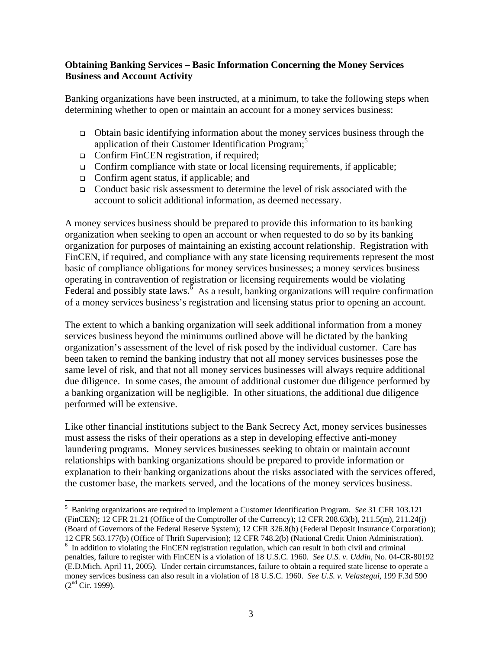# **Obtaining Banking Services – Basic Information Concerning the Money Services Business and Account Activity**

Banking organizations have been instructed, at a minimum, to take the following steps when determining whether to open or maintain an account for a money services business:

- Obtain basic identifying information about the money services business through the application of their Customer Identification Program;<sup>[5](#page-2-0)</sup>
- □ Confirm FinCEN registration, if required;
- $\Box$  Confirm compliance with state or local licensing requirements, if applicable;
- □ Confirm agent status, if applicable; and
- Conduct basic risk assessment to determine the level of risk associated with the account to solicit additional information, as deemed necessary.

A money services business should be prepared to provide this information to its banking organization when seeking to open an account or when requested to do so by its banking organization for purposes of maintaining an existing account relationship. Registration with FinCEN, if required, and compliance with any state licensing requirements represent the most basic of compliance obligations for money services businesses; a money services business operating in contravention of registration or licensing requirements would be violating Federal and possibly state laws.  $\frac{6}{9}$  $\frac{6}{9}$  $\frac{6}{9}$  As a result, banking organizations will require confirmation of a money services business's registration and licensing status prior to opening an account.

The extent to which a banking organization will seek additional information from a money services business beyond the minimums outlined above will be dictated by the banking organization's assessment of the level of risk posed by the individual customer. Care has been taken to remind the banking industry that not all money services businesses pose the same level of risk, and that not all money services businesses will always require additional due diligence. In some cases, the amount of additional customer due diligence performed by a banking organization will be negligible. In other situations, the additional due diligence performed will be extensive.

Like other financial institutions subject to the Bank Secrecy Act, money services businesses must assess the risks of their operations as a step in developing effective anti-money laundering programs. Money services businesses seeking to obtain or maintain account relationships with banking organizations should be prepared to provide information or explanation to their banking organizations about the risks associated with the services offered, the customer base, the markets served, and the locations of the money services business.

<span id="page-2-0"></span> $\overline{a}$ 5 Banking organizations are required to implement a Customer Identification Program. *See* 31 CFR 103.121 (FinCEN); 12 CFR 21.21 (Office of the Comptroller of the Currency); 12 CFR 208.63(b), 211.5(m), 211.24(j) (Board of Governors of the Federal Reserve System); 12 CFR 326.8(b) (Federal Deposit Insurance Corporation); 12 CFR 563.177(b) (Office of Thrift Supervision); 12 CFR 748.2(b) (National Credit Union Administration). 6

<span id="page-2-1"></span> $\delta$  In addition to violating the FinCEN registration regulation, which can result in both civil and criminal penalties, failure to register with FinCEN is a violation of 18 U.S.C. 1960. *See U.S. v. Uddin*, No. 04-CR-80192 (E.D.Mich. April 11, 2005). Under certain circumstances, failure to obtain a required state license to operate a money services business can also result in a violation of 18 U.S.C. 1960. *See U.S. v. Velastegui*, 199 F.3d 590  $(2<sup>nd</sup> Cir. 1999)$ .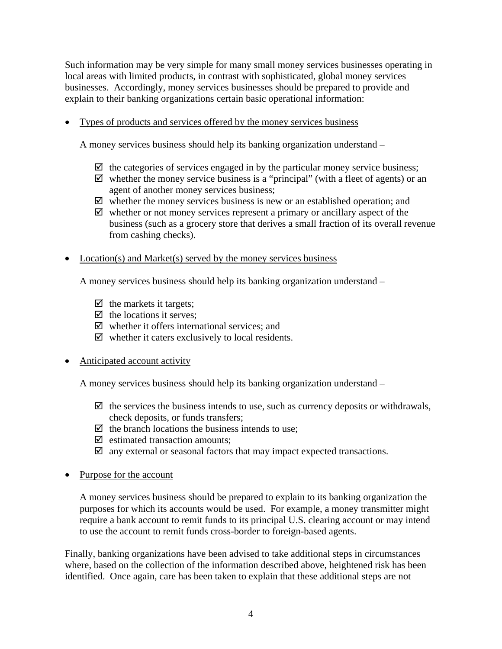Such information may be very simple for many small money services businesses operating in local areas with limited products, in contrast with sophisticated, global money services businesses. Accordingly, money services businesses should be prepared to provide and explain to their banking organizations certain basic operational information:

• Types of products and services offered by the money services business

A money services business should help its banking organization understand –

- $\boxtimes$  the categories of services engaged in by the particular money service business;
- $\boxtimes$  whether the money service business is a "principal" (with a fleet of agents) or an agent of another money services business;
- $\boxtimes$  whether the money services business is new or an established operation; and
- $\boxtimes$  whether or not money services represent a primary or ancillary aspect of the business (such as a grocery store that derives a small fraction of its overall revenue from cashing checks).
- Location(s) and Market(s) served by the money services business

A money services business should help its banking organization understand –

- $\boxtimes$  the markets it targets;
- $\boxtimes$  the locations it serves:
- $\boxtimes$  whether it offers international services; and
- $\boxtimes$  whether it caters exclusively to local residents.

### • Anticipated account activity

A money services business should help its banking organization understand –

- $\boxtimes$  the services the business intends to use, such as currency deposits or withdrawals, check deposits, or funds transfers;
- $\boxtimes$  the branch locations the business intends to use;
- $\boxtimes$  estimated transaction amounts:
- $\boxtimes$  any external or seasonal factors that may impact expected transactions.
- Purpose for the account

A money services business should be prepared to explain to its banking organization the purposes for which its accounts would be used. For example, a money transmitter might require a bank account to remit funds to its principal U.S. clearing account or may intend to use the account to remit funds cross-border to foreign-based agents.

Finally, banking organizations have been advised to take additional steps in circumstances where, based on the collection of the information described above, heightened risk has been identified. Once again, care has been taken to explain that these additional steps are not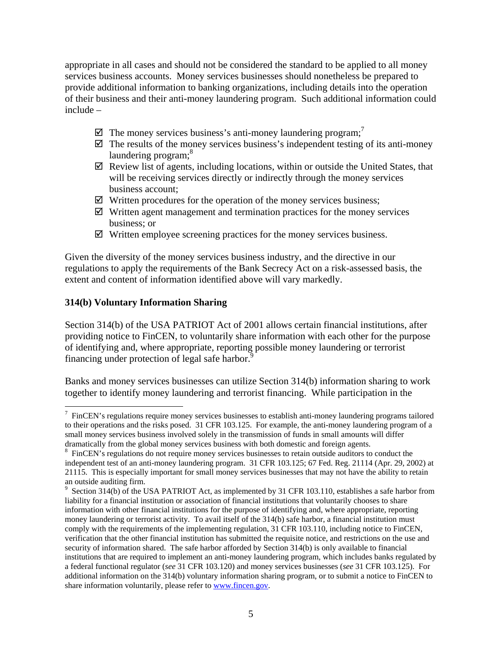appropriate in all cases and should not be considered the standard to be applied to all money services business accounts. Money services businesses should nonetheless be prepared to provide additional information to banking organizations, including details into the operation of their business and their anti-money laundering program. Such additional information could include –

- $\boxtimes$  The money services business's anti-money laundering program;<sup>[7](#page-4-0)</sup>
- $\boxtimes$  The results of the money services business's independent testing of its anti-money laundering program;<sup>[8](#page-4-1)</sup>
- $\boxtimes$  Review list of agents, including locations, within or outside the United States, that will be receiving services directly or indirectly through the money services business account;
- $\boxtimes$  Written procedures for the operation of the money services business;
- $\boxtimes$  Written agent management and termination practices for the money services business; or
- $\boxtimes$  Written employee screening practices for the money services business.

Given the diversity of the money services business industry, and the directive in our regulations to apply the requirements of the Bank Secrecy Act on a risk-assessed basis, the extent and content of information identified above will vary markedly.

# **314(b) Voluntary Information Sharing**

 $\overline{a}$ 

Section 314(b) of the USA PATRIOT Act of 2001 allows certain financial institutions, after providing notice to FinCEN, to voluntarily share information with each other for the purpose of identifying and, where appropriate, reporting possible money laundering or terrorist financing under protection of legal safe harbor.<sup>[9](#page-4-2)</sup>

Banks and money services businesses can utilize Section 314(b) information sharing to work together to identify money laundering and terrorist financing. While participation in the

<span id="page-4-0"></span> $7$  FinCEN's regulations require money services businesses to establish anti-money laundering programs tailored to their operations and the risks posed. 31 CFR 103.125. For example, the anti-money laundering program of a small money services business involved solely in the transmission of funds in small amounts will differ dramatically from the global money services business with both domestic and foreign agents. 8

<span id="page-4-1"></span><sup>&</sup>lt;sup>8</sup> FinCEN's regulations do not require money services businesses to retain outside auditors to conduct the independent test of an anti-money laundering program. 31 CFR 103.125; 67 Fed. Reg. 21114 (Apr. 29, 2002) at 21115. This is especially important for small money services businesses that may not have the ability to retain an outside auditing firm.

<span id="page-4-2"></span><sup>&</sup>lt;sup>9</sup> Section 314(b) of the USA PATRIOT Act, as implemented by 31 CFR 103.110, establishes a safe harbor from liability for a financial institution or association of financial institutions that voluntarily chooses to share information with other financial institutions for the purpose of identifying and, where appropriate, reporting money laundering or terrorist activity. To avail itself of the 314(b) safe harbor, a financial institution must comply with the requirements of the implementing regulation, 31 CFR 103.110, including notice to FinCEN, verification that the other financial institution has submitted the requisite notice, and restrictions on the use and security of information shared. The safe harbor afforded by Section 314(b) is only available to financial institutions that are required to implement an anti-money laundering program, which includes banks regulated by a federal functional regulator (*see* 31 CFR 103.120) and money services businesses (*see* 31 CFR 103.125). For additional information on the 314(b) voluntary information sharing program, or to submit a notice to FinCEN to share information voluntarily, please refer to [www.fincen.gov](http://www.fincen.gov/).